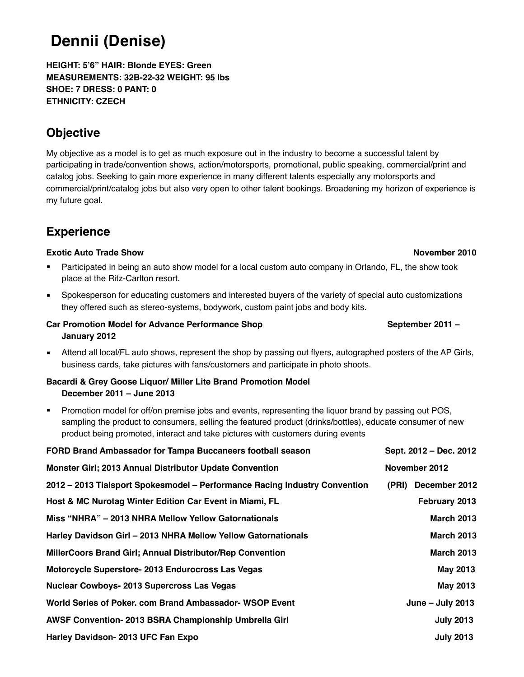# **Dennii (Denise)**

**HEIGHT: 5'6" HAIR: Blonde EYES: Green MEASUREMENTS: 32B-22-32 WEIGHT: 95 lbs SHOE: 7 DRESS: 0 PANT: 0 ETHNICITY: CZECH**

## **Objective**

My objective as a model is to get as much exposure out in the industry to become a successful talent by participating in trade/convention shows, action/motorsports, promotional, public speaking, commercial/print and catalog jobs. Seeking to gain more experience in many different talents especially any motorsports and commercial/print/catalog jobs but also very open to other talent bookings. Broadening my horizon of experience is my future goal.

## **Experience**

### **Exotic Auto Trade Show November 2010**

- Participated in being an auto show model for a local custom auto company in Orlando, FL, the show took place at the Ritz-Carlton resort.
- Spokesperson for educating customers and interested buyers of the variety of special auto customizations they offered such as stereo-systems, bodywork, custom paint jobs and body kits.

### **Car Promotion Model for Advance Performance Shop September 2011 – September 2011 – January 2012**

■ Attend all local/FL auto shows, represent the shop by passing out flyers, autographed posters of the AP Girls, business cards, take pictures with fans/customers and participate in photo shoots.

### **Bacardi & Grey Goose Liquor/ Miller Lite Brand Promotion Model December 2011 – June 2013**

Promotion model for off/on premise jobs and events, representing the liquor brand by passing out POS, sampling the product to consumers, selling the featured product (drinks/bottles), educate consumer of new product being promoted, interact and take pictures with customers during events

| FORD Brand Ambassador for Tampa Buccaneers football season                 | Sept. 2012 - Dec. 2012 |
|----------------------------------------------------------------------------|------------------------|
| <b>Monster Girl; 2013 Annual Distributor Update Convention</b>             | November 2012          |
| 2012 - 2013 Tialsport Spokesmodel - Performance Racing Industry Convention | December 2012<br>(PRI) |
| Host & MC Nurotag Winter Edition Car Event in Miami, FL                    | February 2013          |
| Miss "NHRA" - 2013 NHRA Mellow Yellow Gatornationals                       | <b>March 2013</b>      |
| Harley Davidson Girl - 2013 NHRA Mellow Yellow Gatornationals              | <b>March 2013</b>      |
| MillerCoors Brand Girl; Annual Distributor/Rep Convention                  | <b>March 2013</b>      |
| Motorcycle Superstore- 2013 Endurocross Las Vegas                          | May 2013               |
| <b>Nuclear Cowboys-2013 Supercross Las Vegas</b>                           | May 2013               |
| World Series of Poker. com Brand Ambassador-WSOP Event                     | June $-$ July 2013     |
| AWSF Convention- 2013 BSRA Championship Umbrella Girl                      | <b>July 2013</b>       |
| Harley Davidson- 2013 UFC Fan Expo                                         | <b>July 2013</b>       |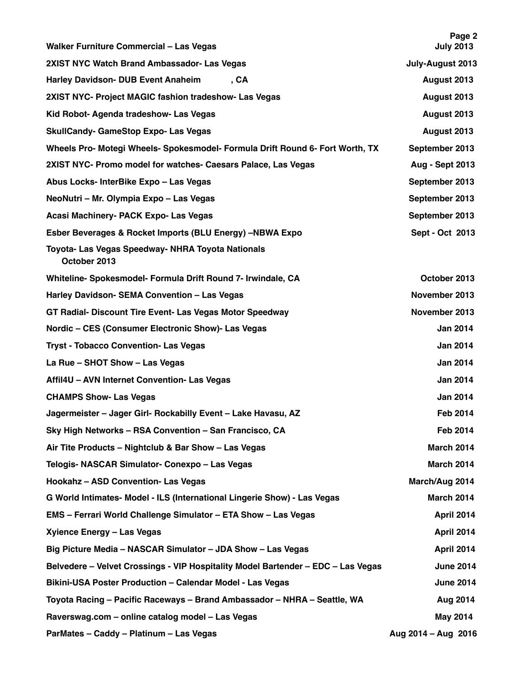| <b>Walker Furniture Commercial - Las Vegas</b>                                   | Page 2<br><b>July 2013</b> |
|----------------------------------------------------------------------------------|----------------------------|
| 2XIST NYC Watch Brand Ambassador- Las Vegas                                      | July-August 2013           |
| Harley Davidson- DUB Event Anaheim<br>, CA                                       | August 2013                |
| 2XIST NYC- Project MAGIC fashion tradeshow- Las Vegas                            | August 2013                |
| Kid Robot- Agenda tradeshow- Las Vegas                                           | August 2013                |
| <b>SkullCandy- GameStop Expo- Las Vegas</b>                                      | August 2013                |
| Wheels Pro- Motegi Wheels- Spokesmodel- Formula Drift Round 6- Fort Worth, TX    | September 2013             |
| 2XIST NYC- Promo model for watches- Caesars Palace, Las Vegas                    | <b>Aug - Sept 2013</b>     |
| Abus Locks- InterBike Expo - Las Vegas                                           | September 2013             |
| NeoNutri - Mr. Olympia Expo - Las Vegas                                          | September 2013             |
| Acasi Machinery- PACK Expo- Las Vegas                                            | September 2013             |
| Esber Beverages & Rocket Imports (BLU Energy) -NBWA Expo                         | Sept - Oct 2013            |
| Toyota- Las Vegas Speedway- NHRA Toyota Nationals<br>October 2013                |                            |
| Whiteline- Spokesmodel- Formula Drift Round 7- Irwindale, CA                     | October 2013               |
| Harley Davidson- SEMA Convention - Las Vegas                                     | November 2013              |
| GT Radial- Discount Tire Event- Las Vegas Motor Speedway                         | November 2013              |
| Nordic - CES (Consumer Electronic Show)- Las Vegas                               | <b>Jan 2014</b>            |
| <b>Tryst - Tobacco Convention- Las Vegas</b>                                     | <b>Jan 2014</b>            |
| La Rue - SHOT Show - Las Vegas                                                   | <b>Jan 2014</b>            |
| Affil4U - AVN Internet Convention- Las Vegas                                     | <b>Jan 2014</b>            |
| <b>CHAMPS Show- Las Vegas</b>                                                    | <b>Jan 2014</b>            |
| Jagermeister - Jager Girl- Rockabilly Event - Lake Havasu, AZ                    | <b>Feb 2014</b>            |
| Sky High Networks - RSA Convention - San Francisco, CA                           | Feb 2014                   |
| Air Tite Products - Nightclub & Bar Show - Las Vegas                             | <b>March 2014</b>          |
| Telogis- NASCAR Simulator- Conexpo - Las Vegas                                   | <b>March 2014</b>          |
| Hookahz - ASD Convention- Las Vegas                                              | March/Aug 2014             |
| G World Intimates- Model - ILS (International Lingerie Show) - Las Vegas         | <b>March 2014</b>          |
| EMS - Ferrari World Challenge Simulator - ETA Show - Las Vegas                   | April 2014                 |
| Xyience Energy - Las Vegas                                                       | April 2014                 |
| Big Picture Media - NASCAR Simulator - JDA Show - Las Vegas                      | April 2014                 |
| Belvedere - Velvet Crossings - VIP Hospitality Model Bartender - EDC - Las Vegas | <b>June 2014</b>           |
| Bikini-USA Poster Production - Calendar Model - Las Vegas                        | <b>June 2014</b>           |
| Toyota Racing - Pacific Raceways - Brand Ambassador - NHRA - Seattle, WA         | Aug 2014                   |
| Raverswag.com - online catalog model - Las Vegas                                 | May 2014                   |
| ParMates - Caddy - Platinum - Las Vegas                                          | Aug 2014 - Aug 2016        |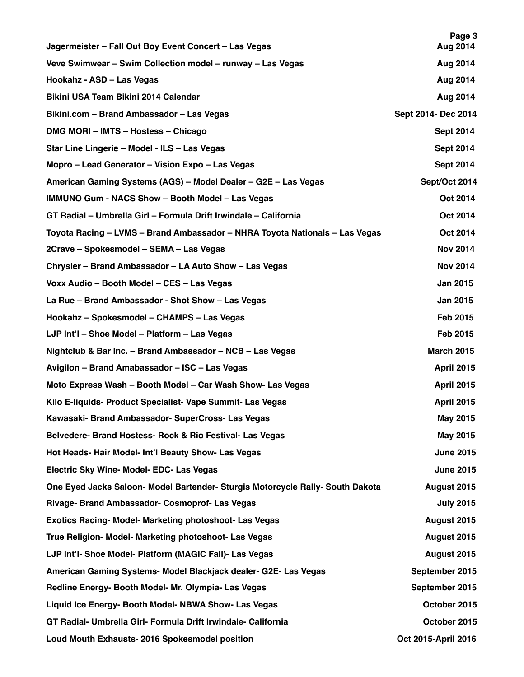| Jagermeister - Fall Out Boy Event Concert - Las Vegas                          | Page 3<br>Aug 2014  |
|--------------------------------------------------------------------------------|---------------------|
| Veve Swimwear - Swim Collection model - runway - Las Vegas                     | Aug 2014            |
| Hookahz - ASD - Las Vegas                                                      | Aug 2014            |
| Bikini USA Team Bikini 2014 Calendar                                           | Aug 2014            |
| Bikini.com - Brand Ambassador - Las Vegas                                      | Sept 2014- Dec 2014 |
| DMG MORI - IMTS - Hostess - Chicago                                            | <b>Sept 2014</b>    |
| Star Line Lingerie - Model - ILS - Las Vegas                                   | <b>Sept 2014</b>    |
| Mopro – Lead Generator – Vision Expo – Las Vegas                               | <b>Sept 2014</b>    |
| American Gaming Systems (AGS) - Model Dealer - G2E - Las Vegas                 | Sept/Oct 2014       |
| <b>IMMUNO Gum - NACS Show - Booth Model - Las Vegas</b>                        | Oct 2014            |
| GT Radial - Umbrella Girl - Formula Drift Irwindale - California               | Oct 2014            |
| Toyota Racing - LVMS - Brand Ambassador - NHRA Toyota Nationals - Las Vegas    | Oct 2014            |
| 2Crave - Spokesmodel - SEMA - Las Vegas                                        | <b>Nov 2014</b>     |
| Chrysler - Brand Ambassador - LA Auto Show - Las Vegas                         | <b>Nov 2014</b>     |
| Voxx Audio - Booth Model - CES - Las Vegas                                     | <b>Jan 2015</b>     |
| La Rue - Brand Ambassador - Shot Show - Las Vegas                              | <b>Jan 2015</b>     |
| Hookahz - Spokesmodel - CHAMPS - Las Vegas                                     | <b>Feb 2015</b>     |
| LJP Int'l - Shoe Model - Platform - Las Vegas                                  | Feb 2015            |
| Nightclub & Bar Inc. - Brand Ambassador - NCB - Las Vegas                      | <b>March 2015</b>   |
| Avigilon - Brand Amabassador - ISC - Las Vegas                                 | <b>April 2015</b>   |
| Moto Express Wash - Booth Model - Car Wash Show- Las Vegas                     | <b>April 2015</b>   |
| Kilo E-liquids- Product Specialist- Vape Summit- Las Vegas                     | <b>April 2015</b>   |
| Kawasaki- Brand Ambassador- SuperCross- Las Vegas                              | May 2015            |
| Belvedere- Brand Hostess- Rock & Rio Festival- Las Vegas                       | May 2015            |
| Hot Heads- Hair Model- Int'l Beauty Show- Las Vegas                            | <b>June 2015</b>    |
| Electric Sky Wine- Model- EDC- Las Vegas                                       | <b>June 2015</b>    |
| One Eyed Jacks Saloon- Model Bartender- Sturgis Motorcycle Rally- South Dakota | August 2015         |
| Rivage- Brand Ambassador- Cosmoprof- Las Vegas                                 | <b>July 2015</b>    |
| <b>Exotics Racing- Model- Marketing photoshoot- Las Vegas</b>                  | August 2015         |
| True Religion- Model- Marketing photoshoot- Las Vegas                          | August 2015         |
| LJP Int'l- Shoe Model- Platform (MAGIC Fall)- Las Vegas                        | August 2015         |
| American Gaming Systems- Model Blackjack dealer- G2E- Las Vegas                | September 2015      |
| Redline Energy- Booth Model- Mr. Olympia- Las Vegas                            | September 2015      |
| Liquid Ice Energy- Booth Model- NBWA Show- Las Vegas                           | October 2015        |
| GT Radial- Umbrella Girl- Formula Drift Irwindale- California                  | October 2015        |
| Loud Mouth Exhausts- 2016 Spokesmodel position                                 | Oct 2015-April 2016 |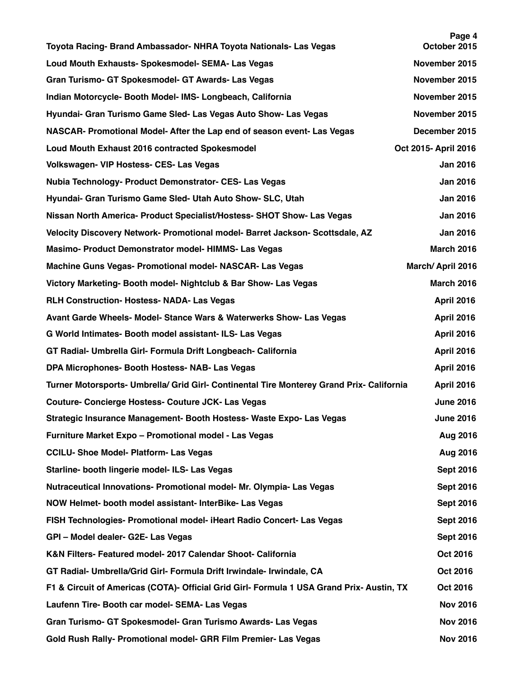| Toyota Racing- Brand Ambassador- NHRA Toyota Nationals- Las Vegas                         | Page 4<br>October 2015 |
|-------------------------------------------------------------------------------------------|------------------------|
| Loud Mouth Exhausts- Spokesmodel- SEMA- Las Vegas                                         | November 2015          |
| Gran Turismo- GT Spokesmodel- GT Awards- Las Vegas                                        | November 2015          |
| Indian Motorcycle- Booth Model- IMS- Longbeach, California                                | November 2015          |
| Hyundai- Gran Turismo Game Sled- Las Vegas Auto Show- Las Vegas                           | November 2015          |
| NASCAR- Promotional Model- After the Lap end of season event- Las Vegas                   | December 2015          |
| <b>Loud Mouth Exhaust 2016 contracted Spokesmodel</b>                                     | Oct 2015- April 2016   |
| Volkswagen- VIP Hostess- CES- Las Vegas                                                   | <b>Jan 2016</b>        |
| Nubia Technology- Product Demonstrator- CES- Las Vegas                                    | <b>Jan 2016</b>        |
| Hyundai- Gran Turismo Game Sled- Utah Auto Show- SLC, Utah                                | <b>Jan 2016</b>        |
| Nissan North America- Product Specialist/Hostess- SHOT Show- Las Vegas                    | <b>Jan 2016</b>        |
| Velocity Discovery Network- Promotional model- Barret Jackson- Scottsdale, AZ             | <b>Jan 2016</b>        |
| Masimo- Product Demonstrator model- HIMMS- Las Vegas                                      | <b>March 2016</b>      |
| Machine Guns Vegas- Promotional model- NASCAR- Las Vegas                                  | March/April 2016       |
| Victory Marketing- Booth model- Nightclub & Bar Show- Las Vegas                           | <b>March 2016</b>      |
| <b>RLH Construction- Hostess- NADA- Las Vegas</b>                                         | <b>April 2016</b>      |
| Avant Garde Wheels- Model- Stance Wars & Waterwerks Show- Las Vegas                       | <b>April 2016</b>      |
| G World Intimates- Booth model assistant- ILS- Las Vegas                                  | <b>April 2016</b>      |
| GT Radial- Umbrella Girl- Formula Drift Longbeach- California                             | <b>April 2016</b>      |
| DPA Microphones- Booth Hostess- NAB- Las Vegas                                            | <b>April 2016</b>      |
| Turner Motorsports- Umbrella/ Grid Girl- Continental Tire Monterey Grand Prix- California | <b>April 2016</b>      |
| Couture- Concierge Hostess- Couture JCK- Las Vegas                                        | <b>June 2016</b>       |
| Strategic Insurance Management- Booth Hostess- Waste Expo- Las Vegas                      | <b>June 2016</b>       |
| Furniture Market Expo - Promotional model - Las Vegas                                     | Aug 2016               |
| <b>CCILU- Shoe Model- Platform- Las Vegas</b>                                             | Aug 2016               |
| Starline- booth lingerie model- ILS- Las Vegas                                            | <b>Sept 2016</b>       |
| Nutraceutical Innovations- Promotional model- Mr. Olympia- Las Vegas                      | <b>Sept 2016</b>       |
| NOW Helmet- booth model assistant- InterBike- Las Vegas                                   | <b>Sept 2016</b>       |
| FISH Technologies- Promotional model- iHeart Radio Concert- Las Vegas                     | <b>Sept 2016</b>       |
| GPI - Model dealer- G2E- Las Vegas                                                        | <b>Sept 2016</b>       |
| K&N Filters- Featured model- 2017 Calendar Shoot- California                              | Oct 2016               |
| GT Radial- Umbrella/Grid Girl- Formula Drift Irwindale- Irwindale, CA                     | Oct 2016               |
| F1 & Circuit of Americas (COTA)- Official Grid Girl- Formula 1 USA Grand Prix- Austin, TX | Oct 2016               |
| Laufenn Tire- Booth car model- SEMA- Las Vegas                                            | <b>Nov 2016</b>        |
| Gran Turismo- GT Spokesmodel- Gran Turismo Awards- Las Vegas                              | <b>Nov 2016</b>        |
| Gold Rush Rally- Promotional model- GRR Film Premier- Las Vegas                           | <b>Nov 2016</b>        |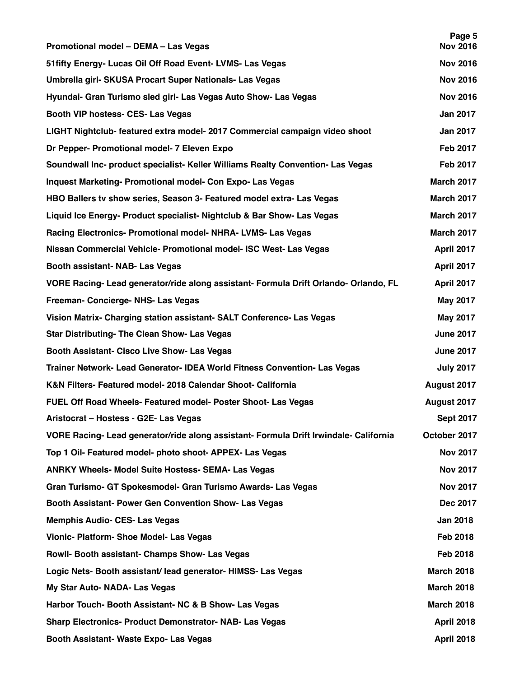| Promotional model - DEMA - Las Vegas                                                  | Page 5<br><b>Nov 2016</b> |
|---------------------------------------------------------------------------------------|---------------------------|
| 51 fifty Energy- Lucas Oil Off Road Event- LVMS- Las Vegas                            | <b>Nov 2016</b>           |
| Umbrella girl- SKUSA Procart Super Nationals- Las Vegas                               | <b>Nov 2016</b>           |
| Hyundai- Gran Turismo sled girl- Las Vegas Auto Show- Las Vegas                       | <b>Nov 2016</b>           |
| Booth VIP hostess- CES- Las Vegas                                                     | <b>Jan 2017</b>           |
| LIGHT Nightclub- featured extra model- 2017 Commercial campaign video shoot           | <b>Jan 2017</b>           |
| Dr Pepper- Promotional model- 7 Eleven Expo                                           | <b>Feb 2017</b>           |
| Soundwall Inc- product specialist- Keller Williams Realty Convention- Las Vegas       | <b>Feb 2017</b>           |
| Inquest Marketing- Promotional model- Con Expo- Las Vegas                             | March 2017                |
| HBO Ballers tv show series, Season 3- Featured model extra- Las Vegas                 | <b>March 2017</b>         |
| Liquid Ice Energy- Product specialist- Nightclub & Bar Show- Las Vegas                | <b>March 2017</b>         |
| Racing Electronics- Promotional model- NHRA- LVMS- Las Vegas                          | <b>March 2017</b>         |
| Nissan Commercial Vehicle- Promotional model- ISC West- Las Vegas                     | April 2017                |
| Booth assistant- NAB- Las Vegas                                                       | April 2017                |
| VORE Racing- Lead generator/ride along assistant- Formula Drift Orlando- Orlando, FL  | April 2017                |
| Freeman- Concierge- NHS- Las Vegas                                                    | <b>May 2017</b>           |
| Vision Matrix- Charging station assistant- SALT Conference- Las Vegas                 | <b>May 2017</b>           |
| <b>Star Distributing- The Clean Show- Las Vegas</b>                                   | <b>June 2017</b>          |
| Booth Assistant- Cisco Live Show- Las Vegas                                           | <b>June 2017</b>          |
| Trainer Network- Lead Generator- IDEA World Fitness Convention- Las Vegas             | <b>July 2017</b>          |
| K&N Filters- Featured model- 2018 Calendar Shoot- California                          | August 2017               |
| FUEL Off Road Wheels- Featured model- Poster Shoot- Las Vegas                         | August 2017               |
| Aristocrat - Hostess - G2E- Las Vegas                                                 | <b>Sept 2017</b>          |
| VORE Racing- Lead generator/ride along assistant- Formula Drift Irwindale- California | October 2017              |
| Top 1 Oil- Featured model- photo shoot- APPEX- Las Vegas                              | <b>Nov 2017</b>           |
| <b>ANRKY Wheels- Model Suite Hostess- SEMA- Las Vegas</b>                             | <b>Nov 2017</b>           |
| Gran Turismo- GT Spokesmodel- Gran Turismo Awards- Las Vegas                          | <b>Nov 2017</b>           |
| Booth Assistant- Power Gen Convention Show- Las Vegas                                 | Dec 2017                  |
| <b>Memphis Audio- CES- Las Vegas</b>                                                  | <b>Jan 2018</b>           |
| Vionic- Platform- Shoe Model- Las Vegas                                               | <b>Feb 2018</b>           |
| Rowll- Booth assistant- Champs Show- Las Vegas                                        | <b>Feb 2018</b>           |
| Logic Nets- Booth assistant/ lead generator- HIMSS- Las Vegas                         | <b>March 2018</b>         |
| My Star Auto- NADA- Las Vegas                                                         | <b>March 2018</b>         |
| Harbor Touch- Booth Assistant- NC & B Show- Las Vegas                                 | <b>March 2018</b>         |
| <b>Sharp Electronics- Product Demonstrator- NAB- Las Vegas</b>                        | <b>April 2018</b>         |
| Booth Assistant- Waste Expo- Las Vegas                                                | <b>April 2018</b>         |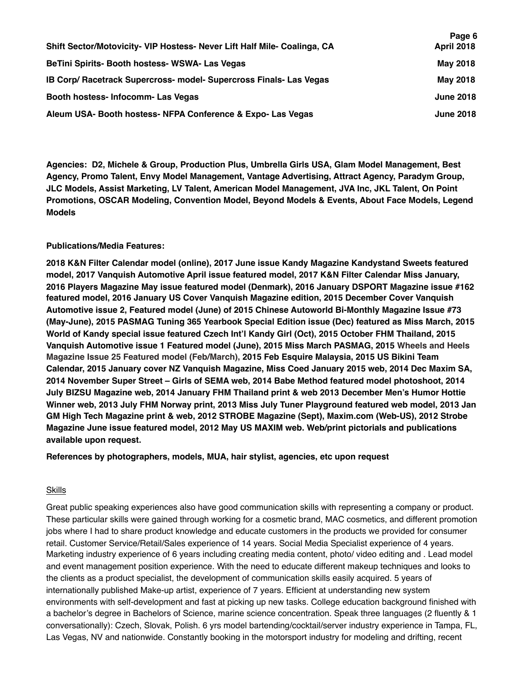|                                                                          | Page 6            |
|--------------------------------------------------------------------------|-------------------|
| Shift Sector/Motovicity- VIP Hostess- Never Lift Half Mile- Coalinga, CA | <b>April 2018</b> |
| BeTini Spirits- Booth hostess- WSWA- Las Vegas                           | May 2018          |
| IB Corp/ Racetrack Supercross- model- Supercross Finals- Las Vegas       | May 2018          |
| Booth hostess- Infocomm- Las Vegas                                       | <b>June 2018</b>  |
| Aleum USA- Booth hostess- NFPA Conference & Expo- Las Vegas              | <b>June 2018</b>  |

**Agencies: D2, Michele & Group, Production Plus, Umbrella Girls USA, Glam Model Management, Best Agency, Promo Talent, Envy Model Management, Vantage Advertising, Attract Agency, Paradym Group, JLC Models, Assist Marketing, LV Talent, American Model Management, JVA Inc, JKL Talent, On Point Promotions, OSCAR Modeling, Convention Model, Beyond Models & Events, About Face Models, Legend Models**

### **Publications/Media Features:**

**2018 K&N Filter Calendar model (online), 2017 June issue Kandy Magazine Kandystand Sweets featured model, 2017 Vanquish Automotive April issue featured model, 2017 K&N Filter Calendar Miss January, 2016 Players Magazine May issue featured model (Denmark), 2016 January DSPORT Magazine issue #162 featured model, 2016 January US Cover Vanquish Magazine edition, 2015 December Cover Vanquish Automotive issue 2, Featured model (June) of 2015 Chinese Autoworld Bi-Monthly Magazine Issue #73 (May-June), 2015 PASMAG Tuning 365 Yearbook Special Edition issue (Dec) featured as Miss March, 2015 World of Kandy special issue featured Czech Int'l Kandy Girl (Oct), 2015 October FHM Thailand, 2015 Vanquish Automotive issue 1 Featured model (June), 2015 Miss March PASMAG, 2015 Wheels and Heels Magazine Issue 25 Featured model (Feb/March), 2015 Feb Esquire Malaysia, 2015 US Bikini Team Calendar, 2015 January cover NZ Vanquish Magazine, Miss Coed January 2015 web, 2014 Dec Maxim SA, 2014 November Super Street – Girls of SEMA web, 2014 Babe Method featured model photoshoot, 2014 July BIZSU Magazine web, 2014 January FHM Thailand print & web 2013 December Men's Humor Hottie Winner web, 2013 July FHM Norway print, 2013 Miss July Tuner Playground featured web model, 2013 Jan GM High Tech Magazine print & web, 2012 STROBE Magazine (Sept), Maxim.com (Web-US), 2012 Strobe Magazine June issue featured model, 2012 May US MAXIM web. Web/print pictorials and publications available upon request.**

**References by photographers, models, MUA, hair stylist, agencies, etc upon request**

### Skills

Great public speaking experiences also have good communication skills with representing a company or product. These particular skills were gained through working for a cosmetic brand, MAC cosmetics, and different promotion jobs where I had to share product knowledge and educate customers in the products we provided for consumer retail. Customer Service/Retail/Sales experience of 14 years. Social Media Specialist experience of 4 years. Marketing industry experience of 6 years including creating media content, photo/ video editing and . Lead model and event management position experience. With the need to educate different makeup techniques and looks to the clients as a product specialist, the development of communication skills easily acquired. 5 years of internationally published Make-up artist, experience of 7 years. Efficient at understanding new system environments with self-development and fast at picking up new tasks. College education background finished with a bachelor's degree in Bachelors of Science, marine science concentration. Speak three languages (2 fluently & 1 conversationally): Czech, Slovak, Polish. 6 yrs model bartending/cocktail/server industry experience in Tampa, FL, Las Vegas, NV and nationwide. Constantly booking in the motorsport industry for modeling and drifting, recent